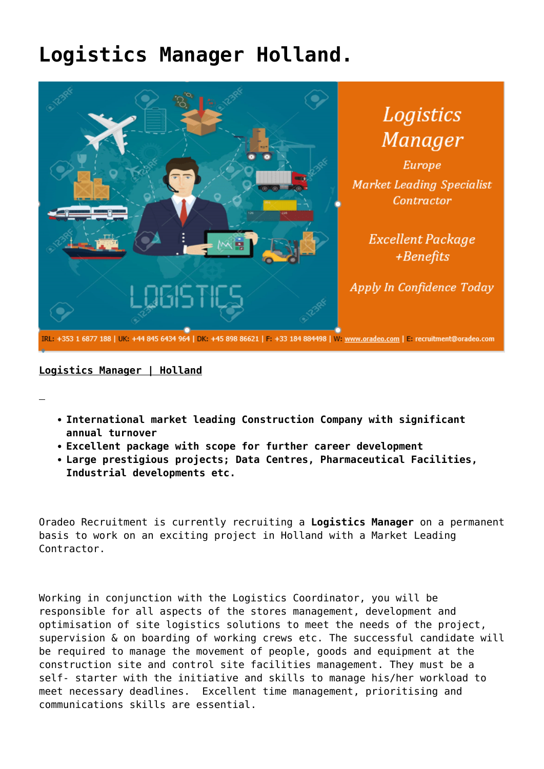## **[Logistics Manager Holland.](https://oradeo.com/job/logistics-manager-holland-2/)**



## **Logistics Manager | Holland**

- **International market leading Construction Company with significant annual turnover**
- **Excellent package with scope for further career development**
- **Large prestigious projects; Data Centres, Pharmaceutical Facilities, Industrial developments etc.**

Oradeo Recruitment is currently recruiting a **Logistics Manager** on a permanent basis to work on an exciting project in Holland with a Market Leading Contractor.

Working in conjunction with the Logistics Coordinator, you will be responsible for all aspects of the stores management, development and optimisation of site logistics solutions to meet the needs of the project, supervision & on boarding of working crews etc. The successful candidate will be required to manage the movement of people, goods and equipment at the construction site and control site facilities management. They must be a self- starter with the initiative and skills to manage his/her workload to meet necessary deadlines. Excellent time management, prioritising and communications skills are essential.